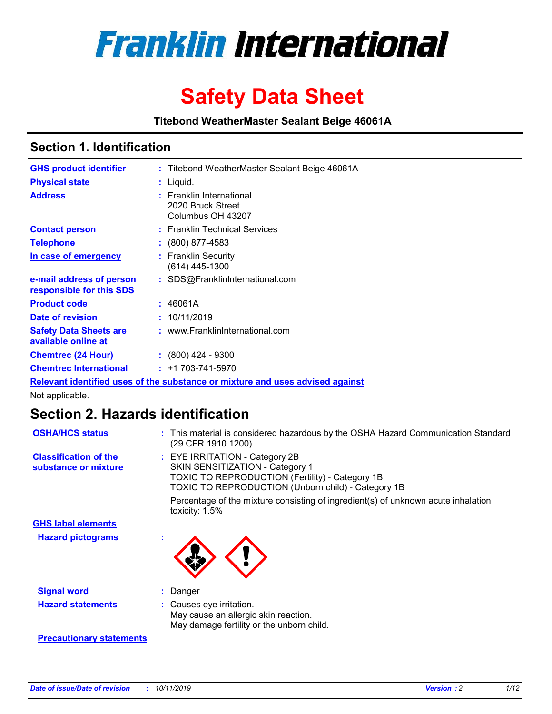

# **Safety Data Sheet**

**Titebond WeatherMaster Sealant Beige 46061A**

## **Section 1. Identification**

| <b>GHS product identifier</b>                                                 |  | : Titebond WeatherMaster Sealant Beige 46061A                      |  |  |  |
|-------------------------------------------------------------------------------|--|--------------------------------------------------------------------|--|--|--|
| <b>Physical state</b>                                                         |  | : Liquid.                                                          |  |  |  |
| <b>Address</b>                                                                |  | : Franklin International<br>2020 Bruck Street<br>Columbus OH 43207 |  |  |  |
| <b>Contact person</b>                                                         |  | : Franklin Technical Services                                      |  |  |  |
| <b>Telephone</b>                                                              |  | : (800) 877-4583                                                   |  |  |  |
| In case of emergency                                                          |  | : Franklin Security<br>$(614)$ 445-1300                            |  |  |  |
| e-mail address of person<br>responsible for this SDS                          |  | : SDS@FranklinInternational.com                                    |  |  |  |
| <b>Product code</b>                                                           |  | : 46061A                                                           |  |  |  |
| Date of revision                                                              |  | : 10/11/2019                                                       |  |  |  |
| <b>Safety Data Sheets are</b><br>available online at                          |  | : www.FranklinInternational.com                                    |  |  |  |
| <b>Chemtrec (24 Hour)</b>                                                     |  | $\div$ (800) 424 - 9300                                            |  |  |  |
| <b>Chemtrec International</b>                                                 |  | $: +1703 - 741 - 5970$                                             |  |  |  |
| Relevant identified uses of the substance or mixture and uses advised against |  |                                                                    |  |  |  |

Not applicable.

# **Section 2. Hazards identification**

| <b>OSHA/HCS status</b>                               | : This material is considered hazardous by the OSHA Hazard Communication Standard<br>(29 CFR 1910.1200).                                                                                 |
|------------------------------------------------------|------------------------------------------------------------------------------------------------------------------------------------------------------------------------------------------|
| <b>Classification of the</b><br>substance or mixture | : EYE IRRITATION - Category 2B<br>SKIN SENSITIZATION - Category 1<br><b>TOXIC TO REPRODUCTION (Fertility) - Category 1B</b><br><b>TOXIC TO REPRODUCTION (Unborn child) - Category 1B</b> |
|                                                      | Percentage of the mixture consisting of ingredient(s) of unknown acute inhalation<br>toxicity: $1.5\%$                                                                                   |
| <b>GHS label elements</b>                            |                                                                                                                                                                                          |
| <b>Hazard pictograms</b>                             |                                                                                                                                                                                          |
| <b>Signal word</b>                                   | : Danger                                                                                                                                                                                 |
| <b>Hazard statements</b>                             | : Causes eye irritation.<br>May cause an allergic skin reaction.<br>May damage fertility or the unborn child.                                                                            |
| <b>Precautionary statements</b>                      |                                                                                                                                                                                          |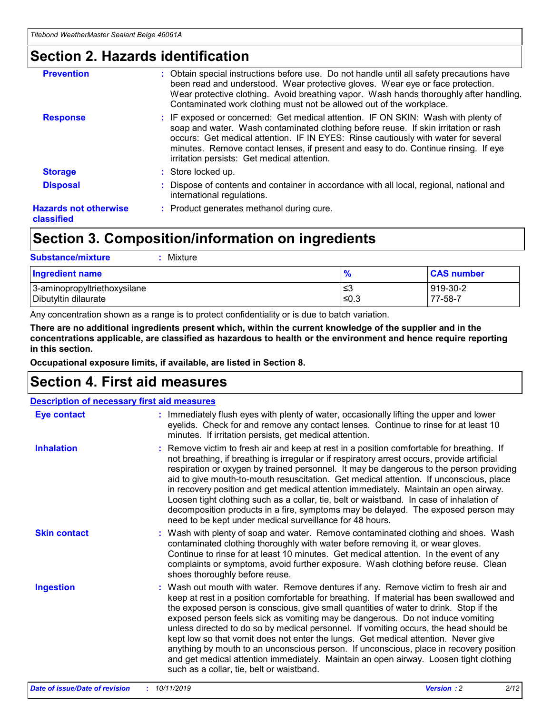# **Section 2. Hazards identification**

| <b>Prevention</b>                          | : Obtain special instructions before use. Do not handle until all safety precautions have<br>been read and understood. Wear protective gloves. Wear eye or face protection.<br>Wear protective clothing. Avoid breathing vapor. Wash hands thoroughly after handling.<br>Contaminated work clothing must not be allowed out of the workplace.                                                        |
|--------------------------------------------|------------------------------------------------------------------------------------------------------------------------------------------------------------------------------------------------------------------------------------------------------------------------------------------------------------------------------------------------------------------------------------------------------|
| <b>Response</b>                            | : IF exposed or concerned: Get medical attention. IF ON SKIN: Wash with plenty of<br>soap and water. Wash contaminated clothing before reuse. If skin irritation or rash<br>occurs: Get medical attention. IF IN EYES: Rinse cautiously with water for several<br>minutes. Remove contact lenses, if present and easy to do. Continue rinsing. If eye<br>irritation persists: Get medical attention. |
| <b>Storage</b>                             | : Store locked up.                                                                                                                                                                                                                                                                                                                                                                                   |
| <b>Disposal</b>                            | : Dispose of contents and container in accordance with all local, regional, national and<br>international regulations.                                                                                                                                                                                                                                                                               |
| <b>Hazards not otherwise</b><br>classified | : Product generates methanol during cure.                                                                                                                                                                                                                                                                                                                                                            |
|                                            |                                                                                                                                                                                                                                                                                                                                                                                                      |

# **Section 3. Composition/information on ingredients**

| <b>Substance/mixture</b><br>Mixture                  |                   |                     |
|------------------------------------------------------|-------------------|---------------------|
| <b>Ingredient name</b>                               | $\frac{9}{6}$     | <b>CAS number</b>   |
| 3-aminopropyltriethoxysilane<br>Dibutyltin dilaurate | l≤3<br>$\leq 0.3$ | 919-30-2<br>77-58-7 |

Any concentration shown as a range is to protect confidentiality or is due to batch variation.

**There are no additional ingredients present which, within the current knowledge of the supplier and in the concentrations applicable, are classified as hazardous to health or the environment and hence require reporting in this section.**

**Occupational exposure limits, if available, are listed in Section 8.**

# **Section 4. First aid measures**

| <b>Description of necessary first aid measures</b> |                                                                                                                                                                                                                                                                                                                                                                                                                                                                                                                                                                                                                                                                                                                                                                           |  |  |  |
|----------------------------------------------------|---------------------------------------------------------------------------------------------------------------------------------------------------------------------------------------------------------------------------------------------------------------------------------------------------------------------------------------------------------------------------------------------------------------------------------------------------------------------------------------------------------------------------------------------------------------------------------------------------------------------------------------------------------------------------------------------------------------------------------------------------------------------------|--|--|--|
| <b>Eye contact</b>                                 | : Immediately flush eyes with plenty of water, occasionally lifting the upper and lower<br>eyelids. Check for and remove any contact lenses. Continue to rinse for at least 10<br>minutes. If irritation persists, get medical attention.                                                                                                                                                                                                                                                                                                                                                                                                                                                                                                                                 |  |  |  |
| <b>Inhalation</b>                                  | : Remove victim to fresh air and keep at rest in a position comfortable for breathing. If<br>not breathing, if breathing is irregular or if respiratory arrest occurs, provide artificial<br>respiration or oxygen by trained personnel. It may be dangerous to the person providing<br>aid to give mouth-to-mouth resuscitation. Get medical attention. If unconscious, place<br>in recovery position and get medical attention immediately. Maintain an open airway.<br>Loosen tight clothing such as a collar, tie, belt or waistband. In case of inhalation of<br>decomposition products in a fire, symptoms may be delayed. The exposed person may<br>need to be kept under medical surveillance for 48 hours.                                                       |  |  |  |
| <b>Skin contact</b>                                | : Wash with plenty of soap and water. Remove contaminated clothing and shoes. Wash<br>contaminated clothing thoroughly with water before removing it, or wear gloves.<br>Continue to rinse for at least 10 minutes. Get medical attention. In the event of any<br>complaints or symptoms, avoid further exposure. Wash clothing before reuse. Clean<br>shoes thoroughly before reuse.                                                                                                                                                                                                                                                                                                                                                                                     |  |  |  |
| <b>Ingestion</b>                                   | : Wash out mouth with water. Remove dentures if any. Remove victim to fresh air and<br>keep at rest in a position comfortable for breathing. If material has been swallowed and<br>the exposed person is conscious, give small quantities of water to drink. Stop if the<br>exposed person feels sick as vomiting may be dangerous. Do not induce vomiting<br>unless directed to do so by medical personnel. If vomiting occurs, the head should be<br>kept low so that vomit does not enter the lungs. Get medical attention. Never give<br>anything by mouth to an unconscious person. If unconscious, place in recovery position<br>and get medical attention immediately. Maintain an open airway. Loosen tight clothing<br>such as a collar, tie, belt or waistband. |  |  |  |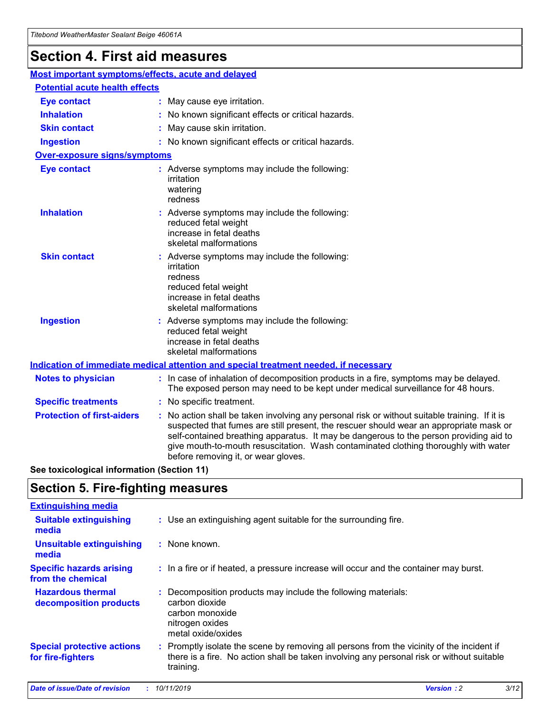# **Section 4. First aid measures**

| Most important symptoms/effects, acute and delayed |                                       |                                                                                                                                                                                                                                                                                                                                                                                                                 |  |  |  |
|----------------------------------------------------|---------------------------------------|-----------------------------------------------------------------------------------------------------------------------------------------------------------------------------------------------------------------------------------------------------------------------------------------------------------------------------------------------------------------------------------------------------------------|--|--|--|
|                                                    | <b>Potential acute health effects</b> |                                                                                                                                                                                                                                                                                                                                                                                                                 |  |  |  |
| <b>Eye contact</b>                                 |                                       | : May cause eye irritation.                                                                                                                                                                                                                                                                                                                                                                                     |  |  |  |
| <b>Inhalation</b>                                  |                                       | : No known significant effects or critical hazards.                                                                                                                                                                                                                                                                                                                                                             |  |  |  |
| <b>Skin contact</b>                                |                                       | : May cause skin irritation.                                                                                                                                                                                                                                                                                                                                                                                    |  |  |  |
| <b>Ingestion</b>                                   |                                       | : No known significant effects or critical hazards.                                                                                                                                                                                                                                                                                                                                                             |  |  |  |
| Over-exposure signs/symptoms                       |                                       |                                                                                                                                                                                                                                                                                                                                                                                                                 |  |  |  |
| <b>Eye contact</b>                                 |                                       | : Adverse symptoms may include the following:<br>irritation<br>watering<br>redness                                                                                                                                                                                                                                                                                                                              |  |  |  |
| <b>Inhalation</b>                                  |                                       | : Adverse symptoms may include the following:<br>reduced fetal weight<br>increase in fetal deaths<br>skeletal malformations                                                                                                                                                                                                                                                                                     |  |  |  |
| <b>Skin contact</b>                                |                                       | : Adverse symptoms may include the following:<br>irritation<br>redness<br>reduced fetal weight<br>increase in fetal deaths<br>skeletal malformations                                                                                                                                                                                                                                                            |  |  |  |
| <b>Ingestion</b>                                   |                                       | : Adverse symptoms may include the following:<br>reduced fetal weight<br>increase in fetal deaths<br>skeletal malformations                                                                                                                                                                                                                                                                                     |  |  |  |
|                                                    |                                       | <b>Indication of immediate medical attention and special treatment needed, if necessary</b>                                                                                                                                                                                                                                                                                                                     |  |  |  |
| <b>Notes to physician</b>                          |                                       | : In case of inhalation of decomposition products in a fire, symptoms may be delayed.<br>The exposed person may need to be kept under medical surveillance for 48 hours.                                                                                                                                                                                                                                        |  |  |  |
| <b>Specific treatments</b>                         |                                       | : No specific treatment.                                                                                                                                                                                                                                                                                                                                                                                        |  |  |  |
| <b>Protection of first-aiders</b>                  |                                       | : No action shall be taken involving any personal risk or without suitable training. If it is<br>suspected that fumes are still present, the rescuer should wear an appropriate mask or<br>self-contained breathing apparatus. It may be dangerous to the person providing aid to<br>give mouth-to-mouth resuscitation. Wash contaminated clothing thoroughly with water<br>before removing it, or wear gloves. |  |  |  |

**See toxicological information (Section 11)**

# **Section 5. Fire-fighting measures**

| <b>Extinguishing media</b>                             |                                                                                                                                                                                                     |
|--------------------------------------------------------|-----------------------------------------------------------------------------------------------------------------------------------------------------------------------------------------------------|
| <b>Suitable extinguishing</b><br>media                 | : Use an extinguishing agent suitable for the surrounding fire.                                                                                                                                     |
| <b>Unsuitable extinguishing</b><br>media               | : None known.                                                                                                                                                                                       |
| <b>Specific hazards arising</b><br>from the chemical   | : In a fire or if heated, a pressure increase will occur and the container may burst.                                                                                                               |
| <b>Hazardous thermal</b><br>decomposition products     | : Decomposition products may include the following materials:<br>carbon dioxide<br>carbon monoxide<br>nitrogen oxides<br>metal oxide/oxides                                                         |
| <b>Special protective actions</b><br>for fire-fighters | : Promptly isolate the scene by removing all persons from the vicinity of the incident if<br>there is a fire. No action shall be taken involving any personal risk or without suitable<br>training. |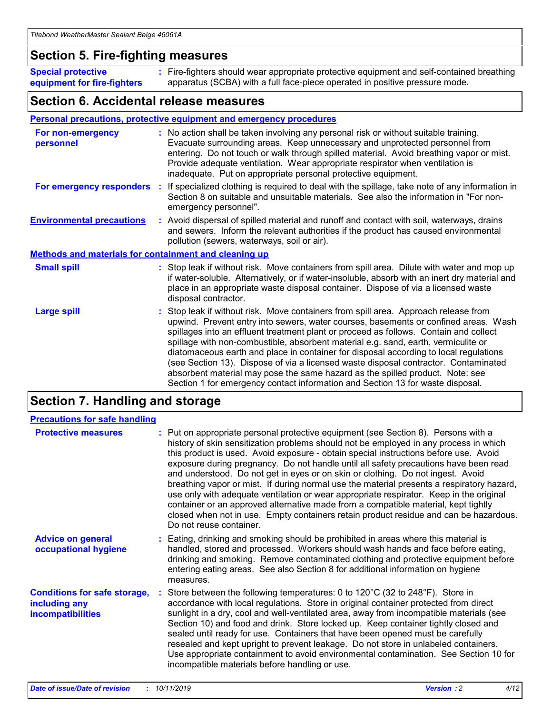## **Section 5. Fire-fighting measures**

**Special protective equipment for fire-fighters** Fire-fighters should wear appropriate protective equipment and self-contained breathing **:** apparatus (SCBA) with a full face-piece operated in positive pressure mode.

## **Section 6. Accidental release measures**

#### **Personal precautions, protective equipment and emergency procedures**

| For non-emergency<br>personnel                               | : No action shall be taken involving any personal risk or without suitable training.<br>Evacuate surrounding areas. Keep unnecessary and unprotected personnel from<br>entering. Do not touch or walk through spilled material. Avoid breathing vapor or mist.<br>Provide adequate ventilation. Wear appropriate respirator when ventilation is<br>inadequate. Put on appropriate personal protective equipment.                                                                                                                                                                                                                                                                                             |
|--------------------------------------------------------------|--------------------------------------------------------------------------------------------------------------------------------------------------------------------------------------------------------------------------------------------------------------------------------------------------------------------------------------------------------------------------------------------------------------------------------------------------------------------------------------------------------------------------------------------------------------------------------------------------------------------------------------------------------------------------------------------------------------|
|                                                              | For emergency responders : If specialized clothing is required to deal with the spillage, take note of any information in<br>Section 8 on suitable and unsuitable materials. See also the information in "For non-<br>emergency personnel".                                                                                                                                                                                                                                                                                                                                                                                                                                                                  |
| <b>Environmental precautions</b>                             | : Avoid dispersal of spilled material and runoff and contact with soil, waterways, drains<br>and sewers. Inform the relevant authorities if the product has caused environmental<br>pollution (sewers, waterways, soil or air).                                                                                                                                                                                                                                                                                                                                                                                                                                                                              |
| <b>Methods and materials for containment and cleaning up</b> |                                                                                                                                                                                                                                                                                                                                                                                                                                                                                                                                                                                                                                                                                                              |
| <b>Small spill</b>                                           | : Stop leak if without risk. Move containers from spill area. Dilute with water and mop up<br>if water-soluble. Alternatively, or if water-insoluble, absorb with an inert dry material and<br>place in an appropriate waste disposal container. Dispose of via a licensed waste<br>disposal contractor.                                                                                                                                                                                                                                                                                                                                                                                                     |
| <b>Large spill</b>                                           | : Stop leak if without risk. Move containers from spill area. Approach release from<br>upwind. Prevent entry into sewers, water courses, basements or confined areas. Wash<br>spillages into an effluent treatment plant or proceed as follows. Contain and collect<br>spillage with non-combustible, absorbent material e.g. sand, earth, vermiculite or<br>diatomaceous earth and place in container for disposal according to local regulations<br>(see Section 13). Dispose of via a licensed waste disposal contractor. Contaminated<br>absorbent material may pose the same hazard as the spilled product. Note: see<br>Section 1 for emergency contact information and Section 13 for waste disposal. |

# **Section 7. Handling and storage**

| <b>Precautions for safe handling</b>                                             |                                                                                                                                                                                                                                                                                                                                                                                                                                                                                                                                                                                                                                                                                                                                                                                                                                                  |
|----------------------------------------------------------------------------------|--------------------------------------------------------------------------------------------------------------------------------------------------------------------------------------------------------------------------------------------------------------------------------------------------------------------------------------------------------------------------------------------------------------------------------------------------------------------------------------------------------------------------------------------------------------------------------------------------------------------------------------------------------------------------------------------------------------------------------------------------------------------------------------------------------------------------------------------------|
| <b>Protective measures</b>                                                       | : Put on appropriate personal protective equipment (see Section 8). Persons with a<br>history of skin sensitization problems should not be employed in any process in which<br>this product is used. Avoid exposure - obtain special instructions before use. Avoid<br>exposure during pregnancy. Do not handle until all safety precautions have been read<br>and understood. Do not get in eyes or on skin or clothing. Do not ingest. Avoid<br>breathing vapor or mist. If during normal use the material presents a respiratory hazard,<br>use only with adequate ventilation or wear appropriate respirator. Keep in the original<br>container or an approved alternative made from a compatible material, kept tightly<br>closed when not in use. Empty containers retain product residue and can be hazardous.<br>Do not reuse container. |
| <b>Advice on general</b><br>occupational hygiene                                 | : Eating, drinking and smoking should be prohibited in areas where this material is<br>handled, stored and processed. Workers should wash hands and face before eating,<br>drinking and smoking. Remove contaminated clothing and protective equipment before<br>entering eating areas. See also Section 8 for additional information on hygiene<br>measures.                                                                                                                                                                                                                                                                                                                                                                                                                                                                                    |
| <b>Conditions for safe storage,</b><br>including any<br><b>incompatibilities</b> | Store between the following temperatures: 0 to 120 $^{\circ}$ C (32 to 248 $^{\circ}$ F). Store in<br>accordance with local regulations. Store in original container protected from direct<br>sunlight in a dry, cool and well-ventilated area, away from incompatible materials (see<br>Section 10) and food and drink. Store locked up. Keep container tightly closed and<br>sealed until ready for use. Containers that have been opened must be carefully<br>resealed and kept upright to prevent leakage. Do not store in unlabeled containers.<br>Use appropriate containment to avoid environmental contamination. See Section 10 for<br>incompatible materials before handling or use.                                                                                                                                                   |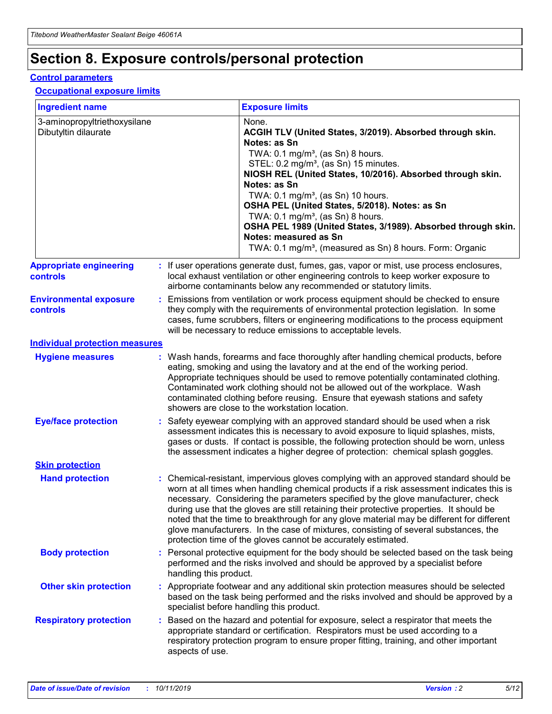# **Section 8. Exposure controls/personal protection**

#### **Control parameters**

#### **Occupational exposure limits**

| <b>Ingredient name</b>                               |    |                                          | <b>Exposure limits</b>                                                                                                                                                                                                                                                                                                                                                                                                                                                                                                                                                                                                 |
|------------------------------------------------------|----|------------------------------------------|------------------------------------------------------------------------------------------------------------------------------------------------------------------------------------------------------------------------------------------------------------------------------------------------------------------------------------------------------------------------------------------------------------------------------------------------------------------------------------------------------------------------------------------------------------------------------------------------------------------------|
| 3-aminopropyltriethoxysilane<br>Dibutyltin dilaurate |    |                                          | None.<br>ACGIH TLV (United States, 3/2019). Absorbed through skin.<br>Notes: as Sn<br>TWA: 0.1 mg/m <sup>3</sup> , (as Sn) 8 hours.<br>STEL: 0.2 mg/m <sup>3</sup> , (as Sn) 15 minutes.<br>NIOSH REL (United States, 10/2016). Absorbed through skin.<br>Notes: as Sn<br>TWA: 0.1 mg/m <sup>3</sup> , (as Sn) 10 hours.<br>OSHA PEL (United States, 5/2018). Notes: as Sn<br>TWA: $0.1 \text{ mg/m}^3$ , (as Sn) 8 hours.<br>OSHA PEL 1989 (United States, 3/1989). Absorbed through skin.<br>Notes: measured as Sn<br>TWA: 0.1 mg/m <sup>3</sup> , (measured as Sn) 8 hours. Form: Organic                           |
| <b>Appropriate engineering</b><br>controls           |    |                                          | : If user operations generate dust, fumes, gas, vapor or mist, use process enclosures,<br>local exhaust ventilation or other engineering controls to keep worker exposure to<br>airborne contaminants below any recommended or statutory limits.                                                                                                                                                                                                                                                                                                                                                                       |
| <b>Environmental exposure</b><br><b>controls</b>     |    |                                          | Emissions from ventilation or work process equipment should be checked to ensure<br>they comply with the requirements of environmental protection legislation. In some<br>cases, fume scrubbers, filters or engineering modifications to the process equipment<br>will be necessary to reduce emissions to acceptable levels.                                                                                                                                                                                                                                                                                          |
| <b>Individual protection measures</b>                |    |                                          |                                                                                                                                                                                                                                                                                                                                                                                                                                                                                                                                                                                                                        |
| <b>Hygiene measures</b>                              |    |                                          | : Wash hands, forearms and face thoroughly after handling chemical products, before<br>eating, smoking and using the lavatory and at the end of the working period.<br>Appropriate techniques should be used to remove potentially contaminated clothing.<br>Contaminated work clothing should not be allowed out of the workplace. Wash<br>contaminated clothing before reusing. Ensure that eyewash stations and safety<br>showers are close to the workstation location.                                                                                                                                            |
| <b>Eye/face protection</b>                           |    |                                          | : Safety eyewear complying with an approved standard should be used when a risk<br>assessment indicates this is necessary to avoid exposure to liquid splashes, mists,<br>gases or dusts. If contact is possible, the following protection should be worn, unless<br>the assessment indicates a higher degree of protection: chemical splash goggles.                                                                                                                                                                                                                                                                  |
| <b>Skin protection</b>                               |    |                                          |                                                                                                                                                                                                                                                                                                                                                                                                                                                                                                                                                                                                                        |
| <b>Hand protection</b>                               |    |                                          | : Chemical-resistant, impervious gloves complying with an approved standard should be<br>worn at all times when handling chemical products if a risk assessment indicates this is<br>necessary. Considering the parameters specified by the glove manufacturer, check<br>during use that the gloves are still retaining their protective properties. It should be<br>noted that the time to breakthrough for any glove material may be different for different<br>glove manufacturers. In the case of mixtures, consisting of several substances, the<br>protection time of the gloves cannot be accurately estimated. |
| <b>Body protection</b>                               |    | handling this product.                   | Personal protective equipment for the body should be selected based on the task being<br>performed and the risks involved and should be approved by a specialist before                                                                                                                                                                                                                                                                                                                                                                                                                                                |
| <b>Other skin protection</b>                         |    | specialist before handling this product. | : Appropriate footwear and any additional skin protection measures should be selected<br>based on the task being performed and the risks involved and should be approved by a                                                                                                                                                                                                                                                                                                                                                                                                                                          |
| <b>Respiratory protection</b>                        | ÷. | aspects of use.                          | Based on the hazard and potential for exposure, select a respirator that meets the<br>appropriate standard or certification. Respirators must be used according to a<br>respiratory protection program to ensure proper fitting, training, and other important                                                                                                                                                                                                                                                                                                                                                         |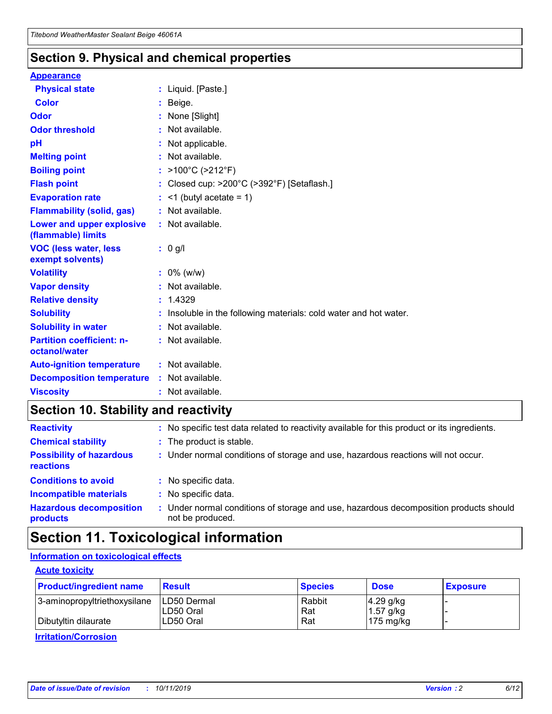## **Section 9. Physical and chemical properties**

#### **Appearance**

| <b>Physical state</b>                             | : Liquid. [Paste.]                                                |
|---------------------------------------------------|-------------------------------------------------------------------|
| Color                                             | Beige.                                                            |
| Odor                                              | None [Slight]                                                     |
| <b>Odor threshold</b>                             | : Not available.                                                  |
| рH                                                | : Not applicable.                                                 |
| <b>Melting point</b>                              | : Not available.                                                  |
| <b>Boiling point</b>                              | : $>100^{\circ}$ C ( $>212^{\circ}$ F)                            |
| <b>Flash point</b>                                | : Closed cup: $>200^{\circ}$ C ( $>392^{\circ}$ F) [Setaflash.]   |
| <b>Evaporation rate</b>                           | $:$ <1 (butyl acetate = 1)                                        |
| <b>Flammability (solid, gas)</b>                  | : Not available.                                                  |
| Lower and upper explosive<br>(flammable) limits   | : Not available.                                                  |
| <b>VOC (less water, less</b><br>exempt solvents)  | $: 0$ g/l                                                         |
| <b>Volatility</b>                                 | $: 0\%$ (w/w)                                                     |
| <b>Vapor density</b>                              | : Not available.                                                  |
| <b>Relative density</b>                           | : 1.4329                                                          |
| <b>Solubility</b>                                 | : Insoluble in the following materials: cold water and hot water. |
| <b>Solubility in water</b>                        | : Not available.                                                  |
| <b>Partition coefficient: n-</b><br>octanol/water | : Not available.                                                  |
| <b>Auto-ignition temperature</b>                  | : Not available.                                                  |
| <b>Decomposition temperature</b>                  | : Not available.                                                  |
| <b>Viscosity</b>                                  | : Not available.                                                  |

# **Section 10. Stability and reactivity**

| <b>Reactivity</b>                            |    | : No specific test data related to reactivity available for this product or its ingredients.            |
|----------------------------------------------|----|---------------------------------------------------------------------------------------------------------|
| <b>Chemical stability</b>                    |    | : The product is stable.                                                                                |
| <b>Possibility of hazardous</b><br>reactions |    | : Under normal conditions of storage and use, hazardous reactions will not occur.                       |
| <b>Conditions to avoid</b>                   |    | : No specific data.                                                                                     |
| <b>Incompatible materials</b>                | ٠. | No specific data.                                                                                       |
| <b>Hazardous decomposition</b><br>products   | ÷. | Under normal conditions of storage and use, hazardous decomposition products should<br>not be produced. |

# **Section 11. Toxicological information**

## **Information on toxicological effects**

#### **Acute toxicity**

| <b>Product/ingredient name</b> | <b>Result</b>           | <b>Species</b> | <b>Dose</b>                | <b>Exposure</b> |
|--------------------------------|-------------------------|----------------|----------------------------|-----------------|
| 3-aminopropyltriethoxysilane   | <b>ILD50 Dermal</b>     | Rabbit         | 4.29 g/kg                  |                 |
| Dibutyltin dilaurate           | ILD50 Oral<br>LD50 Oral | Rat<br>Rat     | $1.57$ g/kg<br>175 $mg/kg$ |                 |
|                                |                         |                |                            |                 |

**Irritation/Corrosion**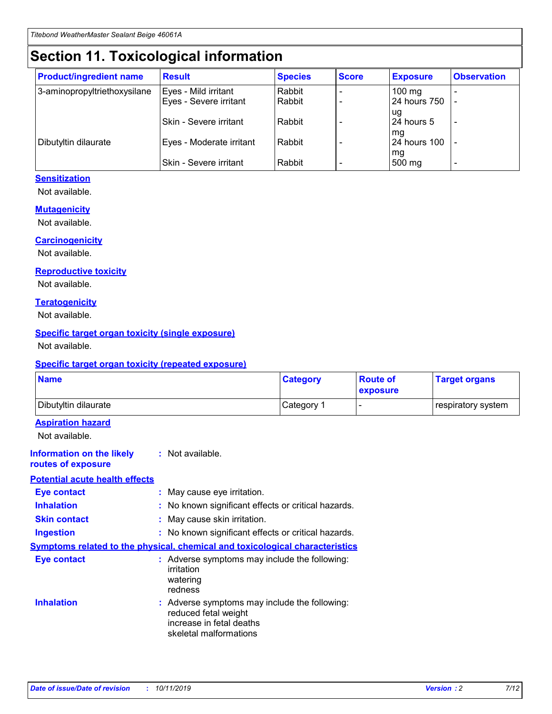# **Section 11. Toxicological information**

| <b>Product/ingredient name</b> | <b>Result</b>            | <b>Species</b> | <b>Score</b> | <b>Exposure</b>           | <b>Observation</b> |
|--------------------------------|--------------------------|----------------|--------------|---------------------------|--------------------|
| 3-aminopropyltriethoxysilane   | Eyes - Mild irritant     | Rabbit         |              | $100$ mg                  |                    |
|                                | Eyes - Severe irritant   | Rabbit         |              | 24 hours 750              |                    |
|                                |                          |                |              | ug                        |                    |
|                                | Skin - Severe irritant   | Rabbit         |              | 24 hours 5                | -                  |
| Dibutyltin dilaurate           | Eyes - Moderate irritant | Rabbit         |              | mg<br><b>24 hours 100</b> |                    |
|                                |                          |                |              | mg                        |                    |
|                                | Skin - Severe irritant   | Rabbit         |              | 500 mg                    | -                  |

### **Sensitization**

Not available.

#### **Mutagenicity**

Not available.

#### **Carcinogenicity**

Not available.

#### **Reproductive toxicity**

Not available.

#### **Teratogenicity**

Not available.

#### **Specific target organ toxicity (single exposure)**

Not available.

#### **Specific target organ toxicity (repeated exposure)**

| <b>Name</b>                                                                  |                                                                            | <b>Category</b>                                     | <b>Route of</b><br>exposure | <b>Target organs</b> |
|------------------------------------------------------------------------------|----------------------------------------------------------------------------|-----------------------------------------------------|-----------------------------|----------------------|
| Dibutyltin dilaurate                                                         |                                                                            | Category 1                                          | -                           | respiratory system   |
| <b>Aspiration hazard</b><br>Not available.                                   |                                                                            |                                                     |                             |                      |
| <b>Information on the likely</b><br>routes of exposure                       | : Not available.                                                           |                                                     |                             |                      |
| <b>Potential acute health effects</b>                                        |                                                                            |                                                     |                             |                      |
| <b>Eye contact</b>                                                           | : May cause eye irritation.                                                |                                                     |                             |                      |
| <b>Inhalation</b>                                                            |                                                                            | : No known significant effects or critical hazards. |                             |                      |
| <b>Skin contact</b>                                                          | : May cause skin irritation.                                               |                                                     |                             |                      |
| <b>Ingestion</b>                                                             |                                                                            | : No known significant effects or critical hazards. |                             |                      |
| Symptoms related to the physical, chemical and toxicological characteristics |                                                                            |                                                     |                             |                      |
| <b>Eye contact</b>                                                           | irritation<br>watering<br>redness                                          | : Adverse symptoms may include the following:       |                             |                      |
| <b>Inhalation</b>                                                            | reduced fetal weight<br>increase in fetal deaths<br>skeletal malformations | : Adverse symptoms may include the following:       |                             |                      |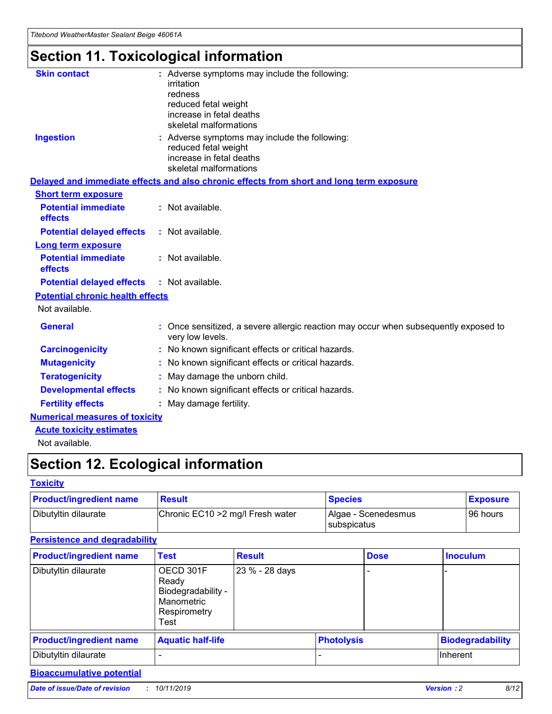# **Section 11. Toxicological information**

| <b>Skin contact</b>                     | : Adverse symptoms may include the following:                                                            |
|-----------------------------------------|----------------------------------------------------------------------------------------------------------|
|                                         | irritation                                                                                               |
|                                         | redness                                                                                                  |
|                                         | reduced fetal weight                                                                                     |
|                                         | increase in fetal deaths                                                                                 |
|                                         | skeletal malformations                                                                                   |
| <b>Ingestion</b>                        | : Adverse symptoms may include the following:                                                            |
|                                         | reduced fetal weight                                                                                     |
|                                         | increase in fetal deaths                                                                                 |
|                                         | skeletal malformations                                                                                   |
|                                         | Delayed and immediate effects and also chronic effects from short and long term exposure                 |
| <b>Short term exposure</b>              |                                                                                                          |
| <b>Potential immediate</b>              | : Not available.                                                                                         |
| effects                                 |                                                                                                          |
| <b>Potential delayed effects</b>        | : Not available.                                                                                         |
| Long term exposure                      |                                                                                                          |
| <b>Potential immediate</b>              | : Not available.                                                                                         |
| effects                                 |                                                                                                          |
| <b>Potential delayed effects</b>        | : Not available.                                                                                         |
| <b>Potential chronic health effects</b> |                                                                                                          |
| Not available.                          |                                                                                                          |
| <b>General</b>                          | : Once sensitized, a severe allergic reaction may occur when subsequently exposed to<br>very low levels. |
| <b>Carcinogenicity</b>                  | : No known significant effects or critical hazards.                                                      |
| <b>Mutagenicity</b>                     | : No known significant effects or critical hazards.                                                      |
| <b>Teratogenicity</b>                   | May damage the unborn child.                                                                             |
| <b>Developmental effects</b>            | : No known significant effects or critical hazards.                                                      |
| <b>Fertility effects</b>                | May damage fertility.                                                                                    |
| <b>Numerical measures of toxicity</b>   |                                                                                                          |
| <b>Acute toxicity estimates</b>         |                                                                                                          |
| الملحلة والمستحقق فالمرابط              |                                                                                                          |

Not available.

# **Section 12. Ecological information**

#### **Toxicity**

| <b>Product/ingredient name</b> | <b>Result</b>                     | <b>Species</b>                       | <b>Exposure</b> |
|--------------------------------|-----------------------------------|--------------------------------------|-----------------|
| Dibutyltin dilaurate           | Chronic EC10 > 2 mg/l Fresh water | Algae - Scenedesmus<br>I subspicatus | l 96 hours      |

## **Persistence and degradability**

| <b>Product/ingredient name</b> | <b>Test</b>                                                                    | <b>Result</b>  |                   | <b>Dose</b> | <b>Inoculum</b>         |
|--------------------------------|--------------------------------------------------------------------------------|----------------|-------------------|-------------|-------------------------|
| Dibutyltin dilaurate           | OECD 301F<br>Ready<br>Biodegradability -<br>Manometric<br>Respirometry<br>Test | 23 % - 28 days |                   |             |                         |
| <b>Product/ingredient name</b> | <b>Aquatic half-life</b>                                                       |                | <b>Photolysis</b> |             | <b>Biodegradability</b> |
| Dibutyltin dilaurate           |                                                                                |                |                   |             | Inherent                |

## **Bioaccumulative potential**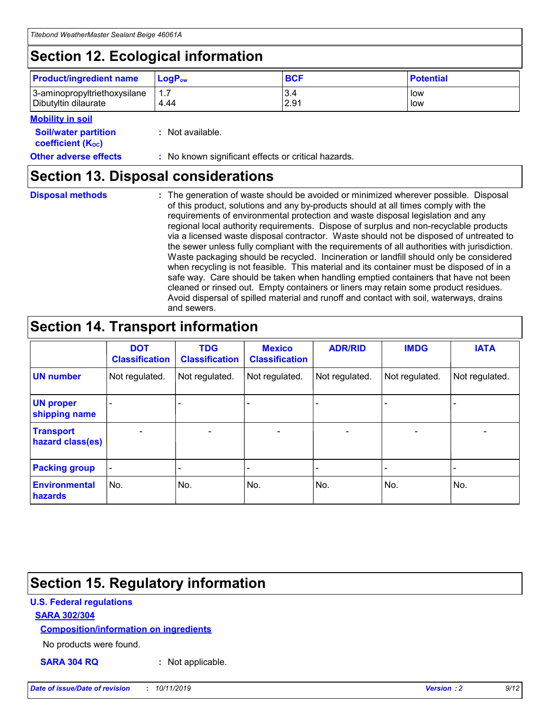# **Section 12. Ecological information**

| <b>Product/ingredient name</b> | $LoaPow$ | <b>BCF</b> | <b>Potential</b> |
|--------------------------------|----------|------------|------------------|
| 3-aminopropyltriethoxysilane   | 1.7      | 3.4        | low              |
| Dibutyltin dilaurate           | 4.44     | 2.91       | low              |

#### **Mobility in soil**

| <i></i>                                                       |                                                     |
|---------------------------------------------------------------|-----------------------------------------------------|
| <b>Soil/water partition</b><br>coefficient (K <sub>oc</sub> ) | : Not available.                                    |
| <b>Other adverse effects</b>                                  | : No known significant effects or critical hazards. |

## **Section 13. Disposal considerations**

**Disposal methods :**

The generation of waste should be avoided or minimized wherever possible. Disposal of this product, solutions and any by-products should at all times comply with the requirements of environmental protection and waste disposal legislation and any regional local authority requirements. Dispose of surplus and non-recyclable products via a licensed waste disposal contractor. Waste should not be disposed of untreated to the sewer unless fully compliant with the requirements of all authorities with jurisdiction. Waste packaging should be recycled. Incineration or landfill should only be considered when recycling is not feasible. This material and its container must be disposed of in a safe way. Care should be taken when handling emptied containers that have not been cleaned or rinsed out. Empty containers or liners may retain some product residues. Avoid dispersal of spilled material and runoff and contact with soil, waterways, drains and sewers.

# **Section 14. Transport information**

|                                      | <b>DOT</b><br><b>Classification</b> | <b>TDG</b><br><b>Classification</b> | <b>Mexico</b><br><b>Classification</b> | <b>ADR/RID</b>           | <b>IMDG</b>              | <b>IATA</b>    |
|--------------------------------------|-------------------------------------|-------------------------------------|----------------------------------------|--------------------------|--------------------------|----------------|
| <b>UN number</b>                     | Not regulated.                      | Not regulated.                      | Not regulated.                         | Not regulated.           | Not regulated.           | Not regulated. |
| <b>UN proper</b><br>shipping name    | $\blacksquare$                      |                                     |                                        |                          |                          |                |
| <b>Transport</b><br>hazard class(es) | $\blacksquare$                      | $\overline{\phantom{a}}$            | $\overline{\phantom{a}}$               | $\overline{\phantom{a}}$ | $\overline{\phantom{a}}$ | $\blacksquare$ |
| <b>Packing group</b>                 | $\overline{\phantom{a}}$            | -                                   | -                                      | -                        |                          | -              |
| <b>Environmental</b><br>hazards      | No.                                 | No.                                 | No.                                    | No.                      | No.                      | No.            |

# **Section 15. Regulatory information**

### **U.S. Federal regulations**

#### **SARA 302/304**

#### **Composition/information on ingredients**

No products were found.

**SARA 304 RQ :** Not applicable.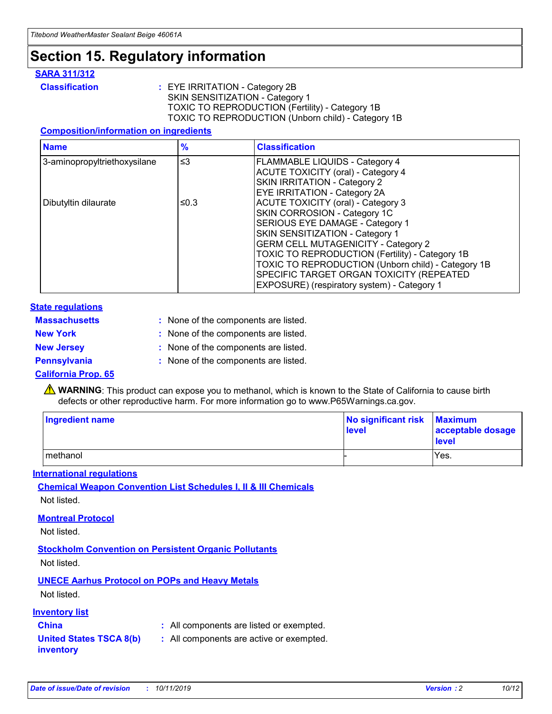# **Section 15. Regulatory information**

#### **SARA 311/312**

**Classification :** EYE IRRITATION - Category 2B SKIN SENSITIZATION - Category 1 TOXIC TO REPRODUCTION (Fertility) - Category 1B TOXIC TO REPRODUCTION (Unborn child) - Category 1B

#### **Composition/information on ingredients**

| <b>Name</b>                  | $\frac{9}{6}$ | <b>Classification</b>                                                                                            |
|------------------------------|---------------|------------------------------------------------------------------------------------------------------------------|
| 3-aminopropyltriethoxysilane | $\leq$ 3      | <b>FLAMMABLE LIQUIDS - Category 4</b><br><b>ACUTE TOXICITY (oral) - Category 4</b>                               |
|                              |               | SKIN IRRITATION - Category 2<br>EYE IRRITATION - Category 2A                                                     |
| Dibutyltin dilaurate         | ≤0.3          | ACUTE TOXICITY (oral) - Category 3<br>SKIN CORROSION - Category 1C                                               |
|                              |               | SERIOUS EYE DAMAGE - Category 1<br>SKIN SENSITIZATION - Category 1<br><b>GERM CELL MUTAGENICITY - Category 2</b> |
|                              |               | TOXIC TO REPRODUCTION (Fertility) - Category 1B<br>TOXIC TO REPRODUCTION (Unborn child) - Category 1B            |
|                              |               | SPECIFIC TARGET ORGAN TOXICITY (REPEATED<br>EXPOSURE) (respiratory system) - Category 1                          |

#### **State regulations**

| <b>Massachusetts</b> | : None of the components are listed. |
|----------------------|--------------------------------------|
| <b>New York</b>      | : None of the components are listed. |
| <b>New Jersey</b>    | : None of the components are listed. |
| <b>Pennsylvania</b>  | : None of the components are listed. |

#### **California Prop. 65**

**A** WARNING: This product can expose you to methanol, which is known to the State of California to cause birth defects or other reproductive harm. For more information go to www.P65Warnings.ca.gov.

| <b>Ingredient name</b> | No significant risk Maximum<br>level | acceptable dosage<br>level |
|------------------------|--------------------------------------|----------------------------|
| methanol               |                                      | Yes.                       |

#### **International regulations**

**Chemical Weapon Convention List Schedules I, II & III Chemicals** Not listed.

#### **Montreal Protocol**

Not listed.

#### **Stockholm Convention on Persistent Organic Pollutants**

Not listed.

## **UNECE Aarhus Protocol on POPs and Heavy Metals**

Not listed.

#### **Inventory list**

## **China :** All components are listed or exempted.

#### **United States TSCA 8(b) inventory :** All components are active or exempted.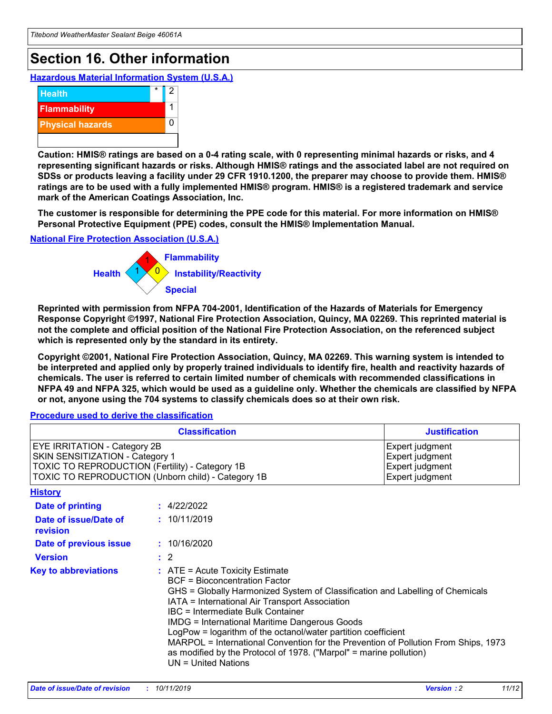# **Section 16. Other information**

**Hazardous Material Information System (U.S.A.)**



**Caution: HMIS® ratings are based on a 0-4 rating scale, with 0 representing minimal hazards or risks, and 4 representing significant hazards or risks. Although HMIS® ratings and the associated label are not required on SDSs or products leaving a facility under 29 CFR 1910.1200, the preparer may choose to provide them. HMIS® ratings are to be used with a fully implemented HMIS® program. HMIS® is a registered trademark and service mark of the American Coatings Association, Inc.**

**The customer is responsible for determining the PPE code for this material. For more information on HMIS® Personal Protective Equipment (PPE) codes, consult the HMIS® Implementation Manual.**

#### **National Fire Protection Association (U.S.A.)**



**Reprinted with permission from NFPA 704-2001, Identification of the Hazards of Materials for Emergency Response Copyright ©1997, National Fire Protection Association, Quincy, MA 02269. This reprinted material is not the complete and official position of the National Fire Protection Association, on the referenced subject which is represented only by the standard in its entirety.**

**Copyright ©2001, National Fire Protection Association, Quincy, MA 02269. This warning system is intended to be interpreted and applied only by properly trained individuals to identify fire, health and reactivity hazards of chemicals. The user is referred to certain limited number of chemicals with recommended classifications in NFPA 49 and NFPA 325, which would be used as a guideline only. Whether the chemicals are classified by NFPA or not, anyone using the 704 systems to classify chemicals does so at their own risk.**

**Procedure used to derive the classification**

| <b>Classification</b>                                                                                                                                                    |                                                                                                                                                  | <b>Justification</b>                                                                                                                                                                                                                                                                                                                                                                                                 |  |
|--------------------------------------------------------------------------------------------------------------------------------------------------------------------------|--------------------------------------------------------------------------------------------------------------------------------------------------|----------------------------------------------------------------------------------------------------------------------------------------------------------------------------------------------------------------------------------------------------------------------------------------------------------------------------------------------------------------------------------------------------------------------|--|
| EYE IRRITATION - Category 2B<br>SKIN SENSITIZATION - Category 1<br>TOXIC TO REPRODUCTION (Fertility) - Category 1B<br>TOXIC TO REPRODUCTION (Unborn child) - Category 1B |                                                                                                                                                  | Expert judgment<br>Expert judgment<br>Expert judgment<br>Expert judgment                                                                                                                                                                                                                                                                                                                                             |  |
| <b>History</b>                                                                                                                                                           |                                                                                                                                                  |                                                                                                                                                                                                                                                                                                                                                                                                                      |  |
| Date of printing                                                                                                                                                         | : 4/22/2022                                                                                                                                      |                                                                                                                                                                                                                                                                                                                                                                                                                      |  |
| Date of issue/Date of<br>revision                                                                                                                                        | : 10/11/2019                                                                                                                                     |                                                                                                                                                                                                                                                                                                                                                                                                                      |  |
| Date of previous issue                                                                                                                                                   | : 10/16/2020                                                                                                                                     |                                                                                                                                                                                                                                                                                                                                                                                                                      |  |
| <b>Version</b>                                                                                                                                                           | $\therefore$ 2                                                                                                                                   |                                                                                                                                                                                                                                                                                                                                                                                                                      |  |
| <b>Key to abbreviations</b>                                                                                                                                              | $\therefore$ ATE = Acute Toxicity Estimate<br><b>BCF</b> = Bioconcentration Factor<br>IBC = Intermediate Bulk Container<br>$UN = United Nations$ | GHS = Globally Harmonized System of Classification and Labelling of Chemicals<br>IATA = International Air Transport Association<br><b>IMDG = International Maritime Dangerous Goods</b><br>LogPow = logarithm of the octanol/water partition coefficient<br>MARPOL = International Convention for the Prevention of Pollution From Ships, 1973<br>as modified by the Protocol of 1978. ("Marpol" = marine pollution) |  |